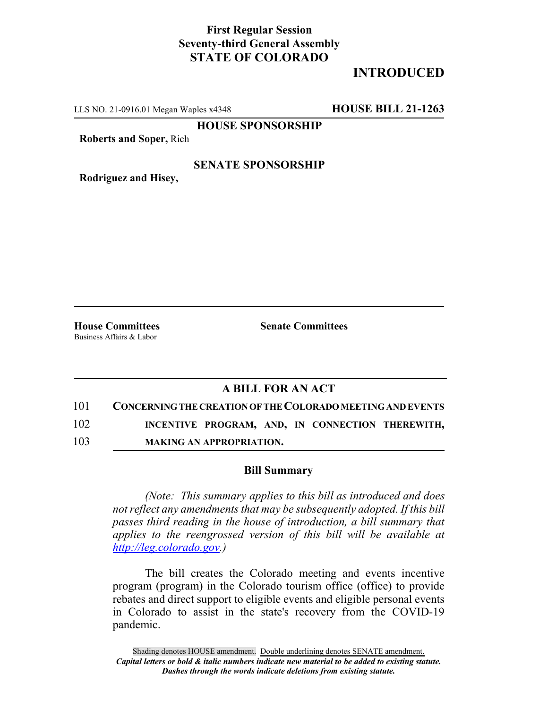## **First Regular Session Seventy-third General Assembly STATE OF COLORADO**

# **INTRODUCED**

LLS NO. 21-0916.01 Megan Waples x4348 **HOUSE BILL 21-1263**

**HOUSE SPONSORSHIP**

**Roberts and Soper,** Rich

### **SENATE SPONSORSHIP**

**Rodriguez and Hisey,**

Business Affairs & Labor

**House Committees Senate Committees**

### **A BILL FOR AN ACT**

101 **CONCERNING THE CREATION OF THE COLORADO MEETING AND EVENTS**

102 **INCENTIVE PROGRAM, AND, IN CONNECTION THEREWITH,**

103 **MAKING AN APPROPRIATION.**

#### **Bill Summary**

*(Note: This summary applies to this bill as introduced and does not reflect any amendments that may be subsequently adopted. If this bill passes third reading in the house of introduction, a bill summary that applies to the reengrossed version of this bill will be available at http://leg.colorado.gov.)*

The bill creates the Colorado meeting and events incentive program (program) in the Colorado tourism office (office) to provide rebates and direct support to eligible events and eligible personal events in Colorado to assist in the state's recovery from the COVID-19 pandemic.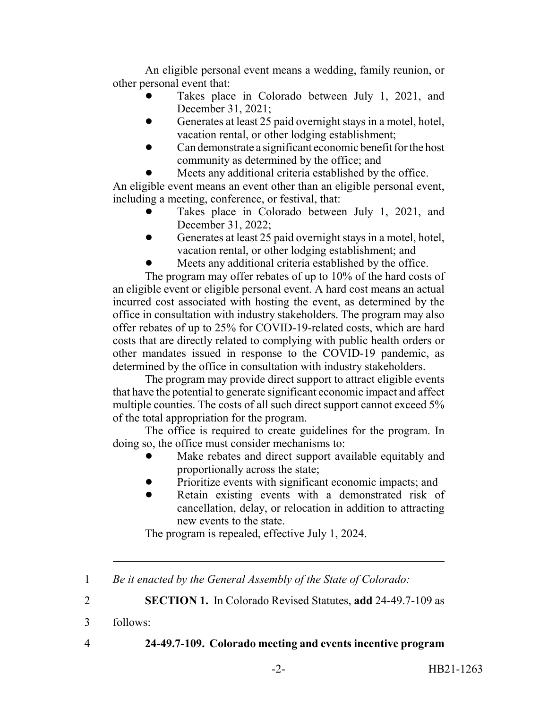An eligible personal event means a wedding, family reunion, or other personal event that:

- Takes place in Colorado between July 1, 2021, and December 31, 2021;
- Generates at least 25 paid overnight stays in a motel, hotel, vacation rental, or other lodging establishment;
- ! Can demonstrate a significant economic benefit for the host community as determined by the office; and
- Meets any additional criteria established by the office.

An eligible event means an event other than an eligible personal event, including a meeting, conference, or festival, that:

- Takes place in Colorado between July 1, 2021, and December 31, 2022;
- Generates at least 25 paid overnight stays in a motel, hotel, vacation rental, or other lodging establishment; and
- Meets any additional criteria established by the office.

The program may offer rebates of up to 10% of the hard costs of an eligible event or eligible personal event. A hard cost means an actual incurred cost associated with hosting the event, as determined by the office in consultation with industry stakeholders. The program may also offer rebates of up to 25% for COVID-19-related costs, which are hard costs that are directly related to complying with public health orders or other mandates issued in response to the COVID-19 pandemic, as determined by the office in consultation with industry stakeholders.

The program may provide direct support to attract eligible events that have the potential to generate significant economic impact and affect multiple counties. The costs of all such direct support cannot exceed 5% of the total appropriation for the program.

The office is required to create guidelines for the program. In doing so, the office must consider mechanisms to:

- Make rebates and direct support available equitably and proportionally across the state;
- Prioritize events with significant economic impacts; and
- Retain existing events with a demonstrated risk of cancellation, delay, or relocation in addition to attracting new events to the state.

The program is repealed, effective July 1, 2024.

|  | Be it enacted by the General Assembly of the State of Colorado: |  |
|--|-----------------------------------------------------------------|--|
|--|-----------------------------------------------------------------|--|

2 **SECTION 1.** In Colorado Revised Statutes, **add** 24-49.7-109 as

- 3 follows:
- 

# 4 **24-49.7-109. Colorado meeting and events incentive program**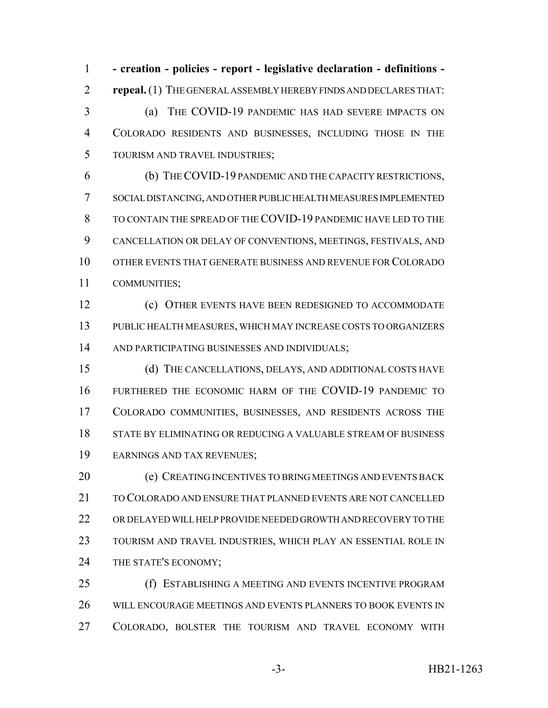**- creation - policies - report - legislative declaration - definitions - repeal.** (1) THE GENERAL ASSEMBLY HEREBY FINDS AND DECLARES THAT: (a) THE COVID-19 PANDEMIC HAS HAD SEVERE IMPACTS ON COLORADO RESIDENTS AND BUSINESSES, INCLUDING THOSE IN THE TOURISM AND TRAVEL INDUSTRIES;

 (b) THE COVID-19 PANDEMIC AND THE CAPACITY RESTRICTIONS, SOCIAL DISTANCING, AND OTHER PUBLIC HEALTH MEASURES IMPLEMENTED TO CONTAIN THE SPREAD OF THE COVID-19 PANDEMIC HAVE LED TO THE CANCELLATION OR DELAY OF CONVENTIONS, MEETINGS, FESTIVALS, AND OTHER EVENTS THAT GENERATE BUSINESS AND REVENUE FOR COLORADO COMMUNITIES;

 (c) OTHER EVENTS HAVE BEEN REDESIGNED TO ACCOMMODATE PUBLIC HEALTH MEASURES, WHICH MAY INCREASE COSTS TO ORGANIZERS AND PARTICIPATING BUSINESSES AND INDIVIDUALS;

 (d) THE CANCELLATIONS, DELAYS, AND ADDITIONAL COSTS HAVE FURTHERED THE ECONOMIC HARM OF THE COVID-19 PANDEMIC TO COLORADO COMMUNITIES, BUSINESSES, AND RESIDENTS ACROSS THE STATE BY ELIMINATING OR REDUCING A VALUABLE STREAM OF BUSINESS EARNINGS AND TAX REVENUES;

20 (e) CREATING INCENTIVES TO BRING MEETINGS AND EVENTS BACK TO COLORADO AND ENSURE THAT PLANNED EVENTS ARE NOT CANCELLED OR DELAYED WILL HELP PROVIDE NEEDED GROWTH AND RECOVERY TO THE TOURISM AND TRAVEL INDUSTRIES, WHICH PLAY AN ESSENTIAL ROLE IN 24 THE STATE'S ECONOMY;

**(f) ESTABLISHING A MEETING AND EVENTS INCENTIVE PROGRAM**  WILL ENCOURAGE MEETINGS AND EVENTS PLANNERS TO BOOK EVENTS IN COLORADO, BOLSTER THE TOURISM AND TRAVEL ECONOMY WITH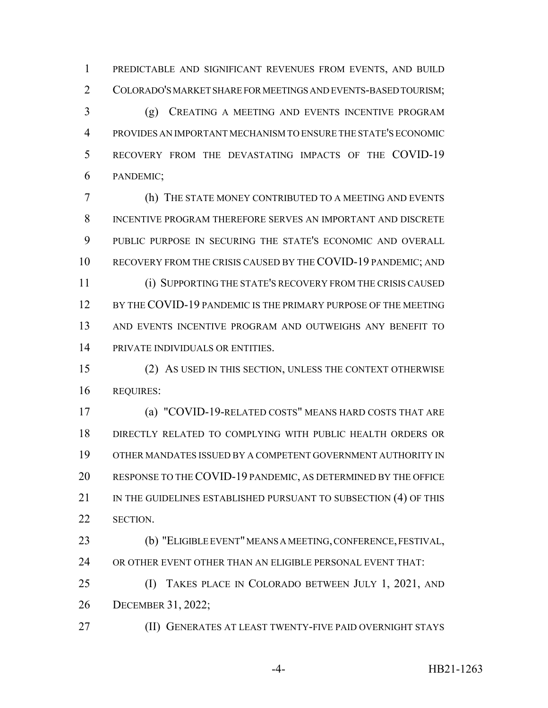PREDICTABLE AND SIGNIFICANT REVENUES FROM EVENTS, AND BUILD COLORADO'S MARKET SHARE FOR MEETINGS AND EVENTS-BASED TOURISM;

 (g) CREATING A MEETING AND EVENTS INCENTIVE PROGRAM PROVIDES AN IMPORTANT MECHANISM TO ENSURE THE STATE'S ECONOMIC RECOVERY FROM THE DEVASTATING IMPACTS OF THE COVID-19 PANDEMIC;

 (h) THE STATE MONEY CONTRIBUTED TO A MEETING AND EVENTS INCENTIVE PROGRAM THEREFORE SERVES AN IMPORTANT AND DISCRETE PUBLIC PURPOSE IN SECURING THE STATE'S ECONOMIC AND OVERALL RECOVERY FROM THE CRISIS CAUSED BY THE COVID-19 PANDEMIC; AND (i) SUPPORTING THE STATE'S RECOVERY FROM THE CRISIS CAUSED 12 BY THE COVID-19 PANDEMIC IS THE PRIMARY PURPOSE OF THE MEETING AND EVENTS INCENTIVE PROGRAM AND OUTWEIGHS ANY BENEFIT TO PRIVATE INDIVIDUALS OR ENTITIES.

 (2) AS USED IN THIS SECTION, UNLESS THE CONTEXT OTHERWISE REQUIRES:

 (a) "COVID-19-RELATED COSTS" MEANS HARD COSTS THAT ARE DIRECTLY RELATED TO COMPLYING WITH PUBLIC HEALTH ORDERS OR OTHER MANDATES ISSUED BY A COMPETENT GOVERNMENT AUTHORITY IN RESPONSE TO THE COVID-19 PANDEMIC, AS DETERMINED BY THE OFFICE 21 IN THE GUIDELINES ESTABLISHED PURSUANT TO SUBSECTION (4) OF THIS SECTION.

 (b) "ELIGIBLE EVENT" MEANS A MEETING, CONFERENCE, FESTIVAL, OR OTHER EVENT OTHER THAN AN ELIGIBLE PERSONAL EVENT THAT:

 (I) TAKES PLACE IN COLORADO BETWEEN JULY 1, 2021, AND DECEMBER 31, 2022;

(II) GENERATES AT LEAST TWENTY-FIVE PAID OVERNIGHT STAYS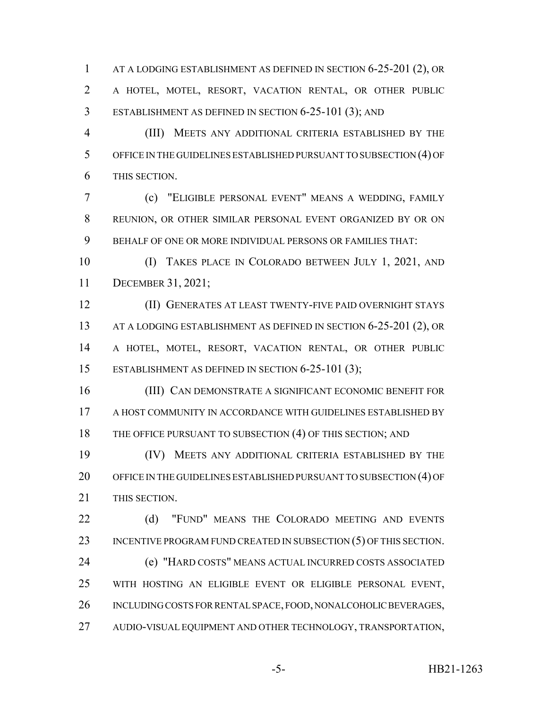1 AT A LODGING ESTABLISHMENT AS DEFINED IN SECTION 6-25-201 (2), OR A HOTEL, MOTEL, RESORT, VACATION RENTAL, OR OTHER PUBLIC ESTABLISHMENT AS DEFINED IN SECTION 6-25-101 (3); AND

 (III) MEETS ANY ADDITIONAL CRITERIA ESTABLISHED BY THE OFFICE IN THE GUIDELINES ESTABLISHED PURSUANT TO SUBSECTION (4) OF THIS SECTION.

 (c) "ELIGIBLE PERSONAL EVENT" MEANS A WEDDING, FAMILY REUNION, OR OTHER SIMILAR PERSONAL EVENT ORGANIZED BY OR ON BEHALF OF ONE OR MORE INDIVIDUAL PERSONS OR FAMILIES THAT:

 (I) TAKES PLACE IN COLORADO BETWEEN JULY 1, 2021, AND DECEMBER 31, 2021;

 (II) GENERATES AT LEAST TWENTY-FIVE PAID OVERNIGHT STAYS 13 AT A LODGING ESTABLISHMENT AS DEFINED IN SECTION 6-25-201 (2), OR A HOTEL, MOTEL, RESORT, VACATION RENTAL, OR OTHER PUBLIC ESTABLISHMENT AS DEFINED IN SECTION 6-25-101 (3);

 (III) CAN DEMONSTRATE A SIGNIFICANT ECONOMIC BENEFIT FOR A HOST COMMUNITY IN ACCORDANCE WITH GUIDELINES ESTABLISHED BY 18 THE OFFICE PURSUANT TO SUBSECTION (4) OF THIS SECTION; AND

 (IV) MEETS ANY ADDITIONAL CRITERIA ESTABLISHED BY THE 20 OFFICE IN THE GUIDELINES ESTABLISHED PURSUANT TO SUBSECTION (4) OF THIS SECTION.

22 (d) "FUND" MEANS THE COLORADO MEETING AND EVENTS 23 INCENTIVE PROGRAM FUND CREATED IN SUBSECTION (5) OF THIS SECTION. (e) "HARD COSTS" MEANS ACTUAL INCURRED COSTS ASSOCIATED WITH HOSTING AN ELIGIBLE EVENT OR ELIGIBLE PERSONAL EVENT, INCLUDING COSTS FOR RENTAL SPACE, FOOD, NONALCOHOLIC BEVERAGES, AUDIO-VISUAL EQUIPMENT AND OTHER TECHNOLOGY, TRANSPORTATION,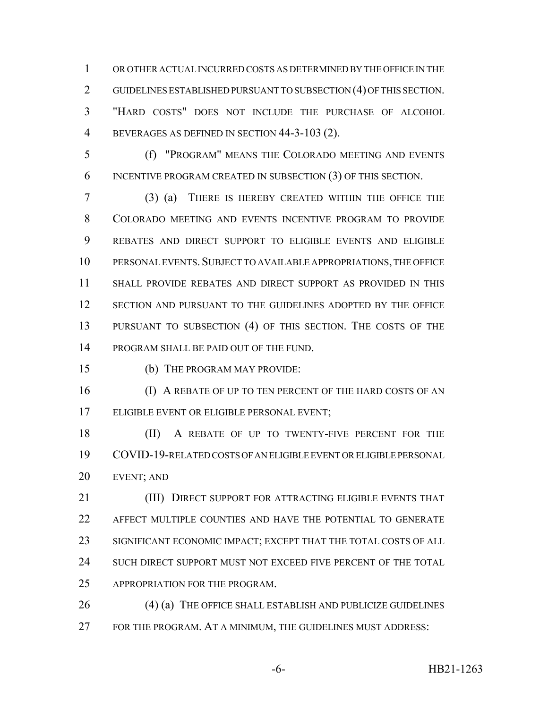OR OTHER ACTUAL INCURRED COSTS AS DETERMINED BY THE OFFICE IN THE GUIDELINES ESTABLISHED PURSUANT TO SUBSECTION (4) OF THIS SECTION. "HARD COSTS" DOES NOT INCLUDE THE PURCHASE OF ALCOHOL BEVERAGES AS DEFINED IN SECTION 44-3-103 (2).

 (f) "PROGRAM" MEANS THE COLORADO MEETING AND EVENTS INCENTIVE PROGRAM CREATED IN SUBSECTION (3) OF THIS SECTION.

 (3) (a) THERE IS HEREBY CREATED WITHIN THE OFFICE THE COLORADO MEETING AND EVENTS INCENTIVE PROGRAM TO PROVIDE REBATES AND DIRECT SUPPORT TO ELIGIBLE EVENTS AND ELIGIBLE PERSONAL EVENTS.SUBJECT TO AVAILABLE APPROPRIATIONS, THE OFFICE SHALL PROVIDE REBATES AND DIRECT SUPPORT AS PROVIDED IN THIS SECTION AND PURSUANT TO THE GUIDELINES ADOPTED BY THE OFFICE PURSUANT TO SUBSECTION (4) OF THIS SECTION. THE COSTS OF THE PROGRAM SHALL BE PAID OUT OF THE FUND.

(b) THE PROGRAM MAY PROVIDE:

16 (I) A REBATE OF UP TO TEN PERCENT OF THE HARD COSTS OF AN ELIGIBLE EVENT OR ELIGIBLE PERSONAL EVENT;

18 (II) A REBATE OF UP TO TWENTY-FIVE PERCENT FOR THE COVID-19-RELATED COSTS OF AN ELIGIBLE EVENT OR ELIGIBLE PERSONAL EVENT; AND

**(III) DIRECT SUPPORT FOR ATTRACTING ELIGIBLE EVENTS THAT**  AFFECT MULTIPLE COUNTIES AND HAVE THE POTENTIAL TO GENERATE SIGNIFICANT ECONOMIC IMPACT; EXCEPT THAT THE TOTAL COSTS OF ALL 24 SUCH DIRECT SUPPORT MUST NOT EXCEED FIVE PERCENT OF THE TOTAL APPROPRIATION FOR THE PROGRAM.

26 (4) (a) THE OFFICE SHALL ESTABLISH AND PUBLICIZE GUIDELINES FOR THE PROGRAM. AT A MINIMUM, THE GUIDELINES MUST ADDRESS: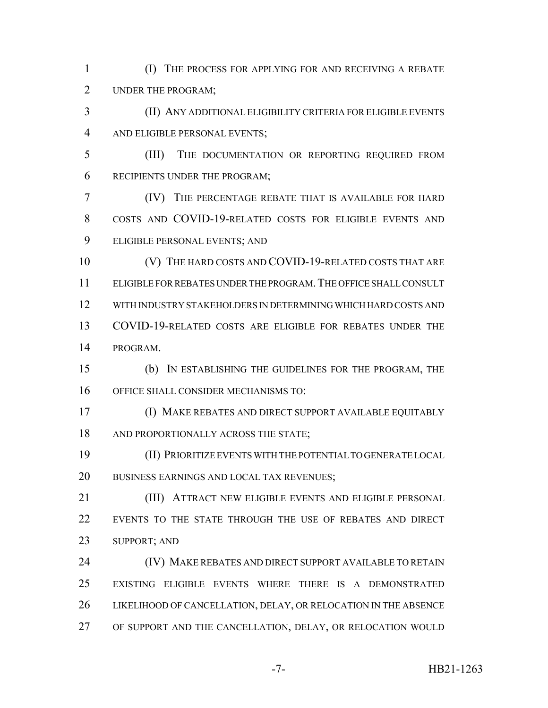(I) THE PROCESS FOR APPLYING FOR AND RECEIVING A REBATE UNDER THE PROGRAM;

 (II) ANY ADDITIONAL ELIGIBILITY CRITERIA FOR ELIGIBLE EVENTS AND ELIGIBLE PERSONAL EVENTS;

 (III) THE DOCUMENTATION OR REPORTING REQUIRED FROM RECIPIENTS UNDER THE PROGRAM;

 (IV) THE PERCENTAGE REBATE THAT IS AVAILABLE FOR HARD COSTS AND COVID-19-RELATED COSTS FOR ELIGIBLE EVENTS AND ELIGIBLE PERSONAL EVENTS; AND

10 (V) THE HARD COSTS AND COVID-19-RELATED COSTS THAT ARE ELIGIBLE FOR REBATES UNDER THE PROGRAM.THE OFFICE SHALL CONSULT WITH INDUSTRY STAKEHOLDERS IN DETERMINING WHICH HARD COSTS AND COVID-19-RELATED COSTS ARE ELIGIBLE FOR REBATES UNDER THE PROGRAM.

 (b) IN ESTABLISHING THE GUIDELINES FOR THE PROGRAM, THE OFFICE SHALL CONSIDER MECHANISMS TO:

 (I) MAKE REBATES AND DIRECT SUPPORT AVAILABLE EQUITABLY 18 AND PROPORTIONALLY ACROSS THE STATE;

 (II) PRIORITIZE EVENTS WITH THE POTENTIAL TO GENERATE LOCAL BUSINESS EARNINGS AND LOCAL TAX REVENUES;

**(III) ATTRACT NEW ELIGIBLE EVENTS AND ELIGIBLE PERSONAL**  EVENTS TO THE STATE THROUGH THE USE OF REBATES AND DIRECT SUPPORT; AND

 (IV) MAKE REBATES AND DIRECT SUPPORT AVAILABLE TO RETAIN EXISTING ELIGIBLE EVENTS WHERE THERE IS A DEMONSTRATED LIKELIHOOD OF CANCELLATION, DELAY, OR RELOCATION IN THE ABSENCE OF SUPPORT AND THE CANCELLATION, DELAY, OR RELOCATION WOULD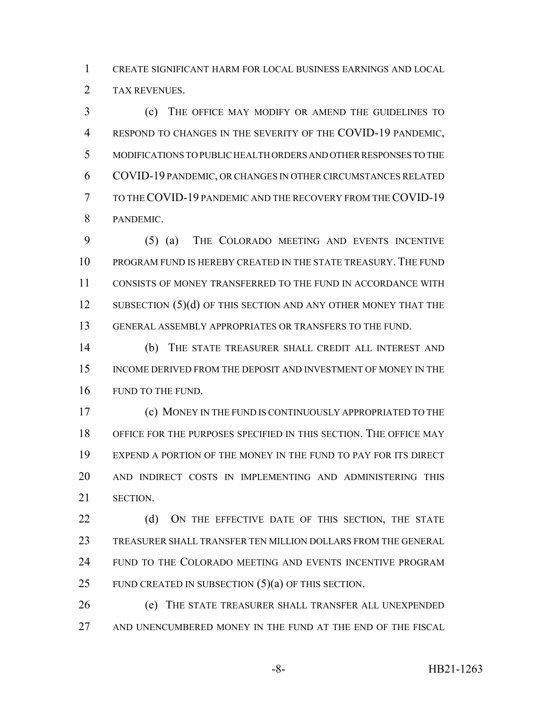CREATE SIGNIFICANT HARM FOR LOCAL BUSINESS EARNINGS AND LOCAL TAX REVENUES.

 (c) THE OFFICE MAY MODIFY OR AMEND THE GUIDELINES TO RESPOND TO CHANGES IN THE SEVERITY OF THE COVID-19 PANDEMIC, MODIFICATIONS TO PUBLIC HEALTH ORDERS AND OTHER RESPONSES TO THE COVID-19 PANDEMIC, OR CHANGES IN OTHER CIRCUMSTANCES RELATED TO THE COVID-19 PANDEMIC AND THE RECOVERY FROM THE COVID-19 PANDEMIC.

 (5) (a) THE COLORADO MEETING AND EVENTS INCENTIVE PROGRAM FUND IS HEREBY CREATED IN THE STATE TREASURY. THE FUND CONSISTS OF MONEY TRANSFERRED TO THE FUND IN ACCORDANCE WITH 12 SUBSECTION (5)(d) OF THIS SECTION AND ANY OTHER MONEY THAT THE GENERAL ASSEMBLY APPROPRIATES OR TRANSFERS TO THE FUND.

 (b) THE STATE TREASURER SHALL CREDIT ALL INTEREST AND 15 INCOME DERIVED FROM THE DEPOSIT AND INVESTMENT OF MONEY IN THE 16 FUND TO THE FUND.

 (c) MONEY IN THE FUND IS CONTINUOUSLY APPROPRIATED TO THE OFFICE FOR THE PURPOSES SPECIFIED IN THIS SECTION. THE OFFICE MAY EXPEND A PORTION OF THE MONEY IN THE FUND TO PAY FOR ITS DIRECT AND INDIRECT COSTS IN IMPLEMENTING AND ADMINISTERING THIS SECTION.

22 (d) ON THE EFFECTIVE DATE OF THIS SECTION, THE STATE TREASURER SHALL TRANSFER TEN MILLION DOLLARS FROM THE GENERAL FUND TO THE COLORADO MEETING AND EVENTS INCENTIVE PROGRAM 25 FUND CREATED IN SUBSECTION  $(5)(a)$  OF THIS SECTION.

 (e) THE STATE TREASURER SHALL TRANSFER ALL UNEXPENDED AND UNENCUMBERED MONEY IN THE FUND AT THE END OF THE FISCAL